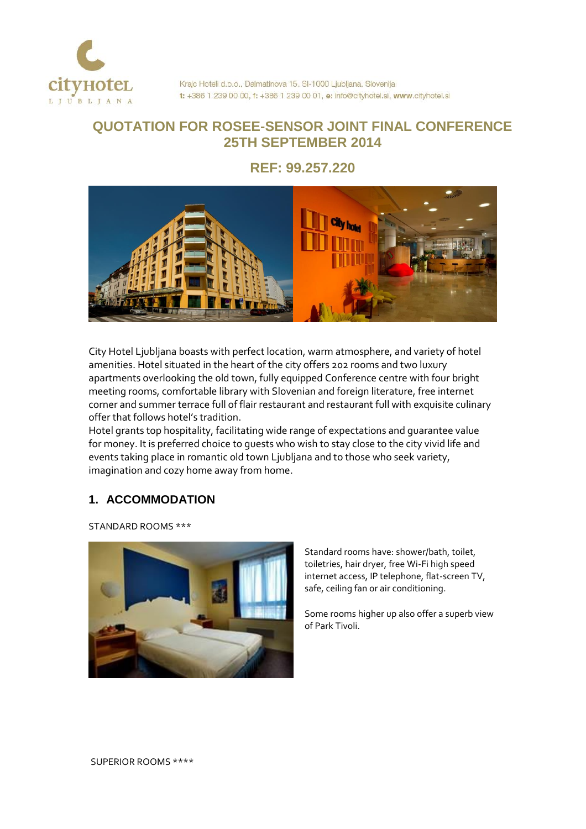

# **QUOTATION FOR ROSEE-SENSOR JOINT FINAL CONFERENCE 25TH SEPTEMBER 2014**

**REF: 99.257.220**



City Hotel Ljubljana boasts with perfect location, warm atmosphere, and variety of hotel amenities. Hotel situated in the heart of the city offers 202 rooms and two luxury apartments overlooking the old town, fully equipped Conference centre with four bright meeting rooms, comfortable library with Slovenian and foreign literature, free internet corner and summer terrace full of flair restaurant and restaurant full with exquisite culinary offer that follows hotel's tradition.

Hotel grants top hospitality, facilitating wide range of expectations and guarantee value for money. It is preferred choice to guests who wish to stay close to the city vivid life and events taking place in romantic old town Ljubljana and to those who seek variety, imagination and cozy home away from home.

## **1. ACCOMMODATION**

STANDARD ROOMS \*\*\*



Standard rooms have: shower/bath, toilet, toiletries, hair dryer, free Wi-Fi high speed internet access, IP telephone, flat-screen TV, safe, ceiling fan or air conditioning.

Some rooms higher up also offer a superb view of Park Tivoli.

SUPERIOR ROOMS \*\*\*\*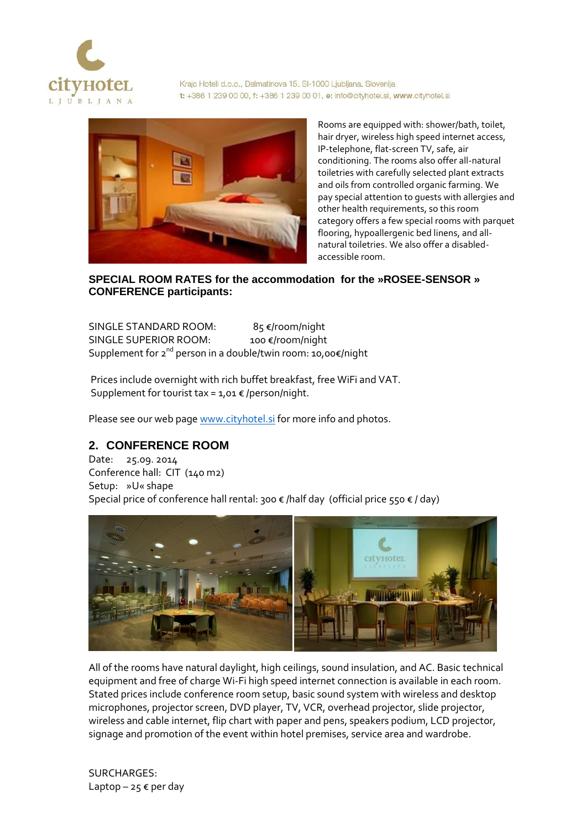

Krajc Hoteli d.o.o., Dalmatinova 15, SI-1000 Ljubljana, Slovenija t: +386 1 239 00 00, f: +386 1 239 00 01, e: info@cityhotel.si, www.cityhotel.si



Rooms are equipped with: shower/bath, toilet, hair dryer, wireless high speed internet access, IP-telephone, flat-screen TV, safe, air conditioning. The rooms also offer all-natural toiletries with carefully selected plant extracts and oils from controlled organic farming. We pay special attention to guests with allergies and other health requirements, so this room category offers a few special rooms with parquet flooring, hypoallergenic bed linens, and allnatural toiletries. We also offer a disabledaccessible room.

## **SPECIAL ROOM RATES for the accommodation for the »ROSEE-SENSOR » CONFERENCE participants:**

SINGLE STANDARD ROOM: 85 €/room/night SINGLE SUPERIOR ROOM: 100 €/room/night Supplement for 2<sup>nd</sup> person in a double/twin room: 10,00€/night

Prices include overnight with rich buffet breakfast, free WiFi and VAT. Supplement for tourist tax =  $1,01 \in$  /person/night.

Please see our web page [www.cityhotel.si](http://www.cityhotel.si/) for more info and photos.

## **2. CONFERENCE ROOM**

Date: 25.09. 2014 Conference hall: CIT (140 m2) Setup: »U« shape Special price of conference hall rental: 300 € /half day (official price 550 € / day)



All of the rooms have natural daylight, high ceilings, sound insulation, and AC. Basic technical equipment and free of charge Wi-Fi high speed internet connection is available in each room. Stated prices include conference room setup, basic sound system with wireless and desktop microphones, projector screen, DVD player, TV, VCR, overhead projector, slide projector, wireless and cable internet, flip chart with paper and pens, speakers podium, LCD projector, signage and promotion of the event within hotel premises, service area and wardrobe.

SURCHARGES: Laptop – 25  $\epsilon$  per day